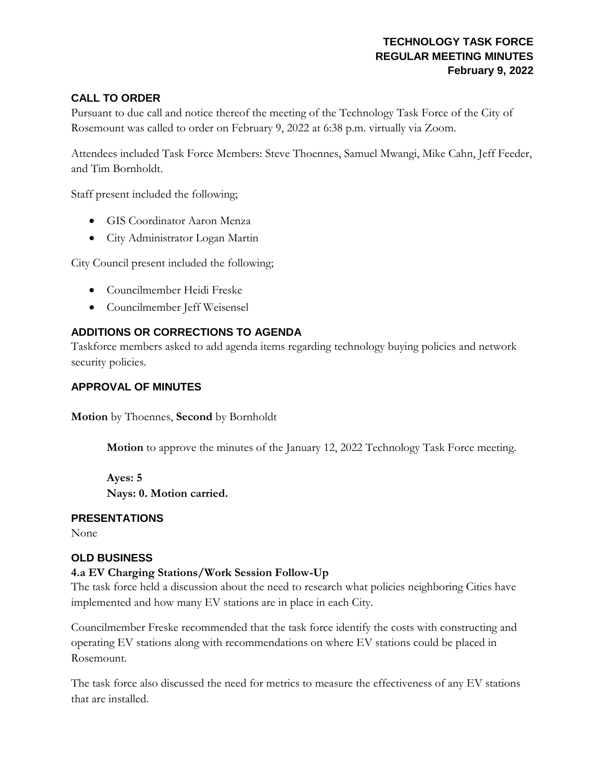# **TECHNOLOGY TASK FORCE REGULAR MEETING MINUTES February 9, 2022**

### **CALL TO ORDER**

Pursuant to due call and notice thereof the meeting of the Technology Task Force of the City of Rosemount was called to order on February 9, 2022 at 6:38 p.m. virtually via Zoom.

Attendees included Task Force Members: Steve Thoennes, Samuel Mwangi, Mike Cahn, Jeff Feeder, and Tim Bornholdt.

Staff present included the following;

- GIS Coordinator Aaron Menza
- City Administrator Logan Martin

City Council present included the following;

- Councilmember Heidi Freske
- Councilmember Jeff Weisensel

# **ADDITIONS OR CORRECTIONS TO AGENDA**

Taskforce members asked to add agenda items regarding technology buying policies and network security policies.

### **APPROVAL OF MINUTES**

**Motion** by Thoennes, **Second** by Bornholdt

**Motion** to approve the minutes of the January 12, 2022 Technology Task Force meeting.

**Ayes: 5 Nays: 0. Motion carried.**

#### **PRESENTATIONS**

None

#### **OLD BUSINESS**

#### **4.a EV Charging Stations/Work Session Follow-Up**

The task force held a discussion about the need to research what policies neighboring Cities have implemented and how many EV stations are in place in each City.

Councilmember Freske recommended that the task force identify the costs with constructing and operating EV stations along with recommendations on where EV stations could be placed in Rosemount.

The task force also discussed the need for metrics to measure the effectiveness of any EV stations that are installed.